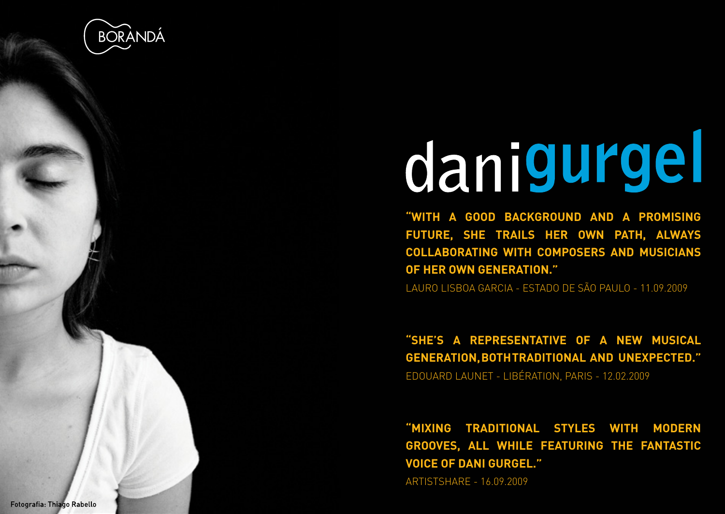

## danigurgel

**"WITH A GOOD BACKGROUND AND A PROMISING FUTURE, SHE TRAILS HER OWN PATH, ALWAYS COLLABORATING WITH COMPOSERS AND MUSICIANS OF HER OWN GENERATION."**

LAURO LISBOA GARCIA - ESTADO DE SÃO PAULO - 11.09.2009

**"SHE'S A REPRESENTATIVE OF A NEW MUSICAL GENERATION, BOTH TRADITIONAL AND UNEXPECTED."** EDOUARD LAUNET - LIBÉRATION, PARIS - 12.02.2009

**"MIXING TRADITIONAL STYLES WITH MODERN GROOVES, ALL WHILE FEATURING THE FANTASTIC VOICE OF DANI GURGEL."**

ARTISTSHARE - 16.09.2009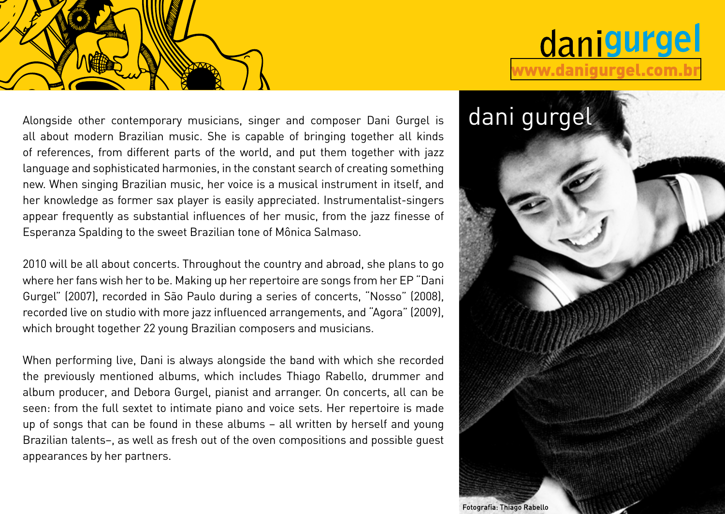

## danigurgel [www.danigurgel.com.br](http://www.danigurgel.com.br)

Alongside other contemporary musicians, singer and composer Dani Gurgel is **dani gurgel** all about modern Brazilian music. She is capable of bringing together all kinds of references, from different parts of the world, and put them together with jazz language and sophisticated harmonies, in the constant search of creating something new. When singing Brazilian music, her voice is a musical instrument in itself, and her knowledge as former sax player is easily appreciated. Instrumentalist-singers appear frequently as substantial influences of her music, from the jazz finesse of Esperanza Spalding to the sweet Brazilian tone of Mônica Salmaso.

2010 will be all about concerts. Throughout the country and abroad, she plans to go where her fans wish her to be. Making up her repertoire are songs from her EP "Dani Gurgel" (2007), recorded in São Paulo during a series of concerts, "Nosso" (2008), recorded live on studio with more jazz influenced arrangements, and "Agora" (2009), which brought together 22 young Brazilian composers and musicians.

When performing live, Dani is always alongside the band with which she recorded the previously mentioned albums, which includes Thiago Rabello, drummer and album producer, and Debora Gurgel, pianist and arranger. On concerts, all can be seen: from the full sextet to intimate piano and voice sets. Her repertoire is made up of songs that can be found in these albums – all written by herself and young Brazilian talents–, as well as fresh out of the oven compositions and possible guest appearances by her partners.

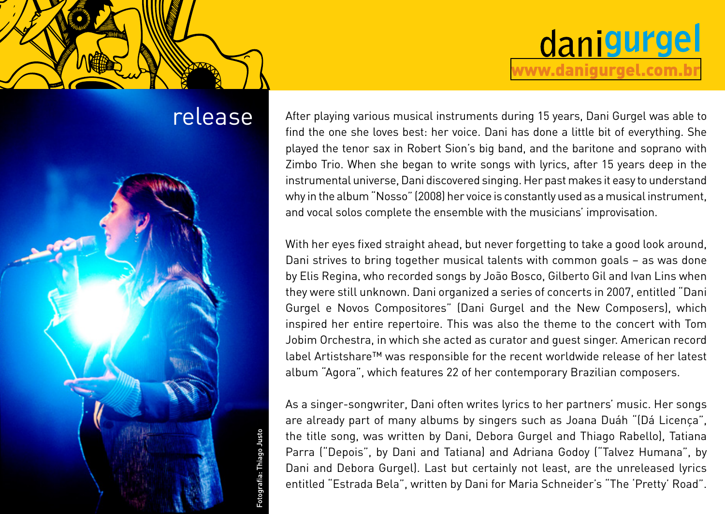



release After playing various musical instruments during 15 years, Dani Gurgel was able to find the one she loves best: her voice. Dani has done a little bit of everything. She played the tenor sax in Robert Sion's big band, and the baritone and soprano with Zimbo Trio. When she began to write songs with lyrics, after 15 years deep in the instrumental universe, Dani discovered singing. Her past makes it easy to understand why in the album "Nosso" (2008) her voice is constantly used as a musical instrument, and vocal solos complete the ensemble with the musicians' improvisation.

[www.danigurgel.com.br](http://www.danigurgel.com.br)

danigurgel

With her eyes fixed straight ahead, but never forgetting to take a good look around, Dani strives to bring together musical talents with common goals – as was done by Elis Regina, who recorded songs by João Bosco, Gilberto Gil and Ivan Lins when they were still unknown. Dani organized a series of concerts in 2007, entitled "Dani Gurgel e Novos Compositores" (Dani Gurgel and the New Composers), which inspired her entire repertoire. This was also the theme to the concert with Tom Jobim Orchestra, in which she acted as curator and guest singer. American record label Artistshare™ was responsible for the recent worldwide release of her latest album "Agora", which features 22 of her contemporary Brazilian composers.

As a singer-songwriter, Dani often writes lyrics to her partners' music. Her songs are already part of many albums by singers such as Joana Duáh "(Dá Licença", the title song, was written by Dani, Debora Gurgel and Thiago Rabello), Tatiana Parra ("Depois", by Dani and Tatiana) and Adriana Godoy ("Talvez Humana", by Dani and Debora Gurgel). Last but certainly not least, are the unreleased lyrics entitled "Estrada Bela", written by Dani for Maria Schneider's "The 'Pretty' Road".